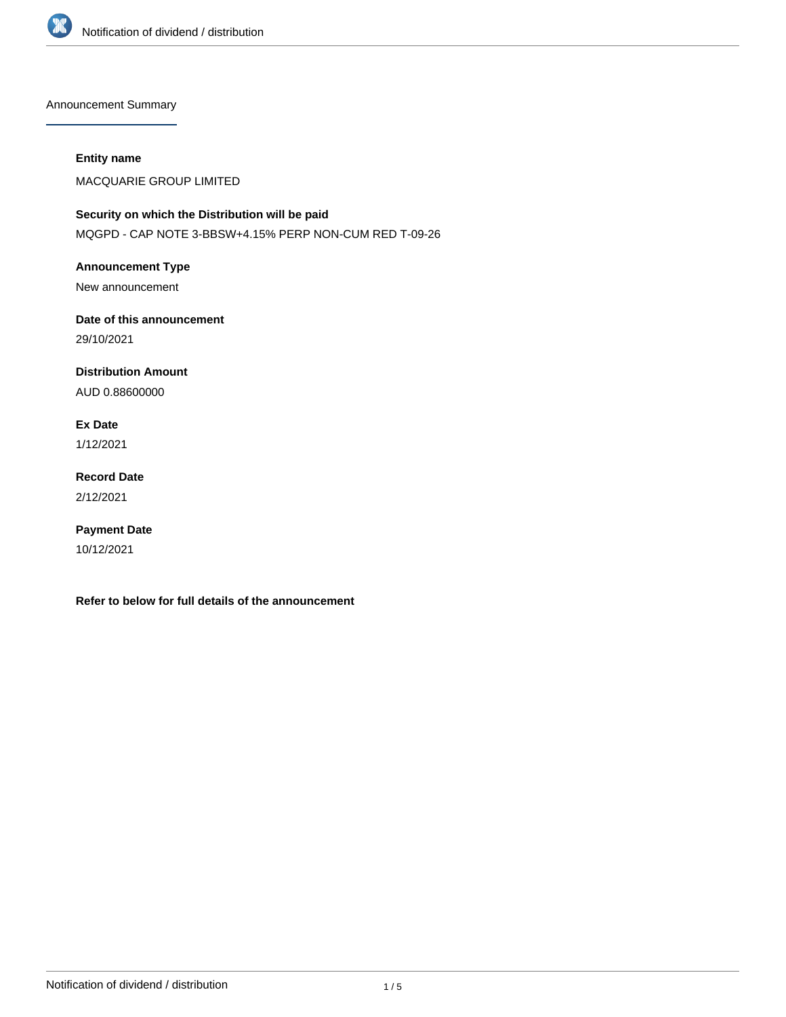

Announcement Summary

### **Entity name**

MACQUARIE GROUP LIMITED

# **Security on which the Distribution will be paid** MQGPD - CAP NOTE 3-BBSW+4.15% PERP NON-CUM RED T-09-26

**Announcement Type** New announcement

**Date of this announcement** 29/10/2021

**Distribution Amount**

AUD 0.88600000

**Ex Date**

1/12/2021

**Record Date** 2/12/2021

**Payment Date** 10/12/2021

**Refer to below for full details of the announcement**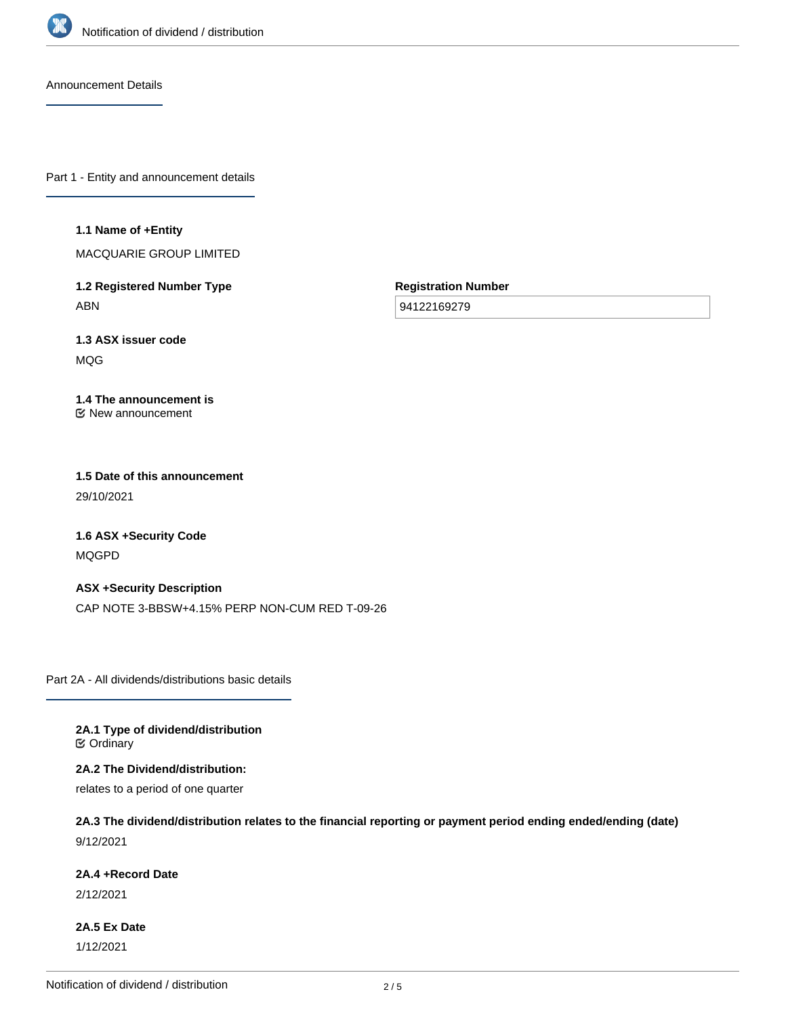

Announcement Details

Part 1 - Entity and announcement details

### **1.1 Name of +Entity**

MACQUARIE GROUP LIMITED

**1.2 Registered Number Type** ABN

**Registration Number**

94122169279

**1.3 ASX issuer code** MQG

#### **1.4 The announcement is** New announcement

# **1.5 Date of this announcement** 29/10/2021

**1.6 ASX +Security Code** MQGPD

**ASX +Security Description** CAP NOTE 3-BBSW+4.15% PERP NON-CUM RED T-09-26

Part 2A - All dividends/distributions basic details

**2A.1 Type of dividend/distribution C** Ordinary

**2A.2 The Dividend/distribution:**

relates to a period of one quarter

**2A.3 The dividend/distribution relates to the financial reporting or payment period ending ended/ending (date)** 9/12/2021

### **2A.4 +Record Date**

2/12/2021

**2A.5 Ex Date** 1/12/2021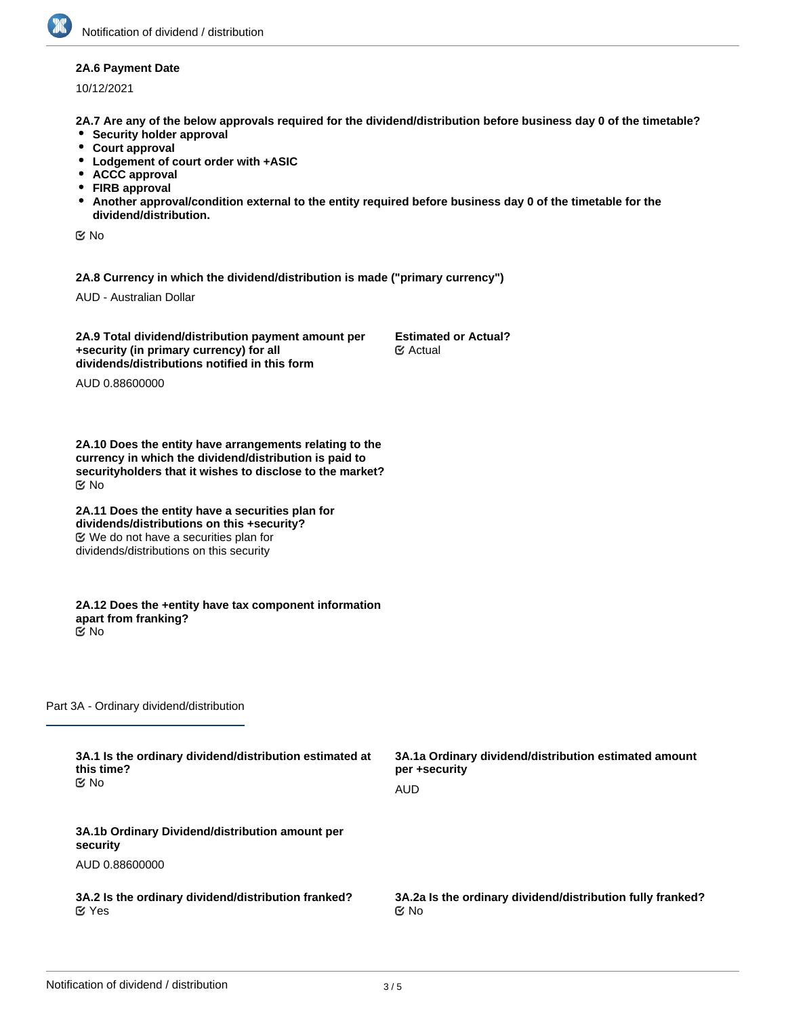### **2A.6 Payment Date**

10/12/2021

**2A.7 Are any of the below approvals required for the dividend/distribution before business day 0 of the timetable?**

- **•** Security holder approval
- **Court approval**
- **Lodgement of court order with +ASIC**
- **ACCC approval**
- **FIRB approval**
- **Another approval/condition external to the entity required before business day 0 of the timetable for the dividend/distribution.**

No

**2A.8 Currency in which the dividend/distribution is made ("primary currency")**

AUD - Australian Dollar

**2A.9 Total dividend/distribution payment amount per +security (in primary currency) for all dividends/distributions notified in this form**

**Estimated or Actual?** Actual

AUD 0.88600000

**2A.10 Does the entity have arrangements relating to the currency in which the dividend/distribution is paid to securityholders that it wishes to disclose to the market?** No

**2A.11 Does the entity have a securities plan for dividends/distributions on this +security?** We do not have a securities plan for dividends/distributions on this security

**2A.12 Does the +entity have tax component information apart from franking?** No

Part 3A - Ordinary dividend/distribution

| 3A.1 Is the ordinary dividend/distribution estimated at     | 3A.1a Ordinary dividend/distribution estimated amount      |
|-------------------------------------------------------------|------------------------------------------------------------|
| this time?                                                  | per +security                                              |
| ় No                                                        | AUD                                                        |
| 3A.1b Ordinary Dividend/distribution amount per<br>security |                                                            |
| AUD 0.88600000                                              |                                                            |
| 3A.2 Is the ordinary dividend/distribution franked?         | 3A.2a Is the ordinary dividend/distribution fully franked? |
| $\mathfrak{C}$ Yes                                          | ় No                                                       |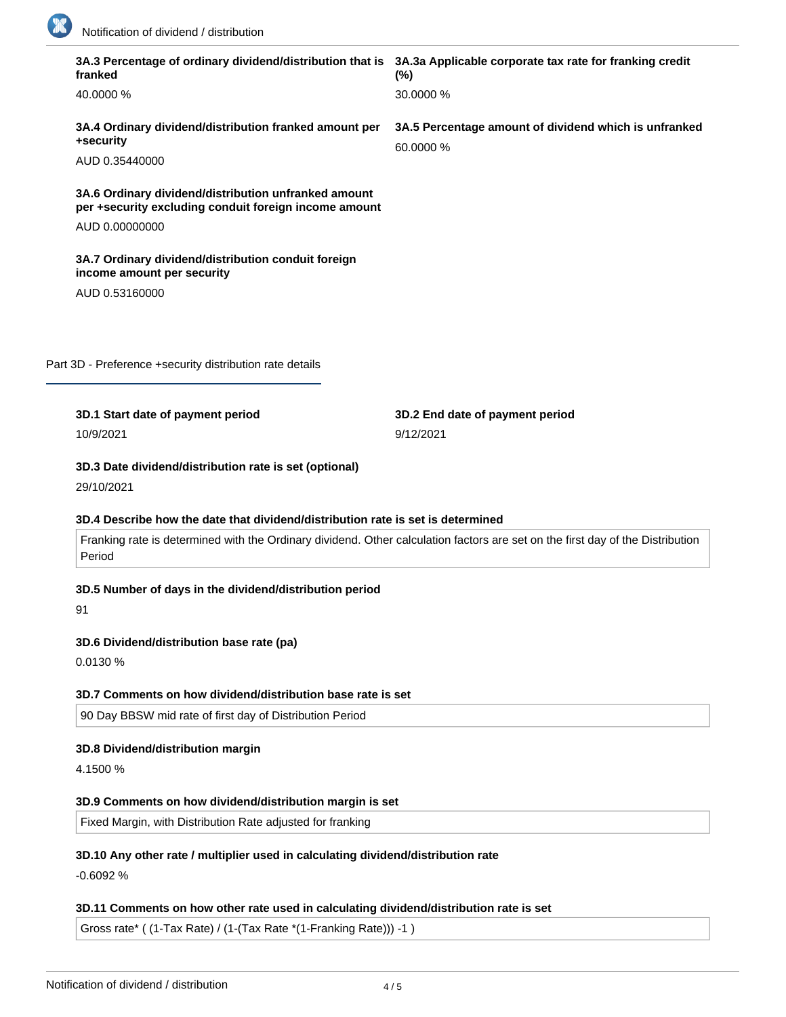

| franked                                                                                                       | 3A.3 Percentage of ordinary dividend/distribution that is 3A.3a Applicable corporate tax rate for franking credit<br>$(\%)$    |
|---------------------------------------------------------------------------------------------------------------|--------------------------------------------------------------------------------------------------------------------------------|
| 40.0000 %                                                                                                     | 30.0000 %                                                                                                                      |
| 3A.4 Ordinary dividend/distribution franked amount per<br>+security                                           | 3A.5 Percentage amount of dividend which is unfranked<br>60.0000 %                                                             |
| AUD 0.35440000                                                                                                |                                                                                                                                |
| 3A.6 Ordinary dividend/distribution unfranked amount<br>per +security excluding conduit foreign income amount |                                                                                                                                |
| AUD 0.00000000                                                                                                |                                                                                                                                |
| 3A.7 Ordinary dividend/distribution conduit foreign<br>income amount per security                             |                                                                                                                                |
| AUD 0.53160000                                                                                                |                                                                                                                                |
|                                                                                                               |                                                                                                                                |
| Part 3D - Preference +security distribution rate details                                                      |                                                                                                                                |
|                                                                                                               |                                                                                                                                |
| 3D.1 Start date of payment period                                                                             | 3D.2 End date of payment period                                                                                                |
| 10/9/2021                                                                                                     | 9/12/2021                                                                                                                      |
|                                                                                                               |                                                                                                                                |
| 3D.3 Date dividend/distribution rate is set (optional)<br>29/10/2021                                          |                                                                                                                                |
| 3D.4 Describe how the date that dividend/distribution rate is set is determined<br>Period                     | Franking rate is determined with the Ordinary dividend. Other calculation factors are set on the first day of the Distribution |
|                                                                                                               |                                                                                                                                |
| 3D.5 Number of days in the dividend/distribution period<br>91                                                 |                                                                                                                                |
|                                                                                                               |                                                                                                                                |
| 3D.6 Dividend/distribution base rate (pa)<br>0.0130 %                                                         |                                                                                                                                |
| 3D.7 Comments on how dividend/distribution base rate is set                                                   |                                                                                                                                |
| 90 Day BBSW mid rate of first day of Distribution Period                                                      |                                                                                                                                |
|                                                                                                               |                                                                                                                                |
| 3D.8 Dividend/distribution margin<br>4.1500 %                                                                 |                                                                                                                                |
| 3D.9 Comments on how dividend/distribution margin is set                                                      |                                                                                                                                |

-0.6092 %

# **3D.11 Comments on how other rate used in calculating dividend/distribution rate is set**

Gross rate\* ( (1-Tax Rate) / (1-(Tax Rate \*(1-Franking Rate))) -1 )

**3D.12 Total dividend/distribution rate for the period (pa)**